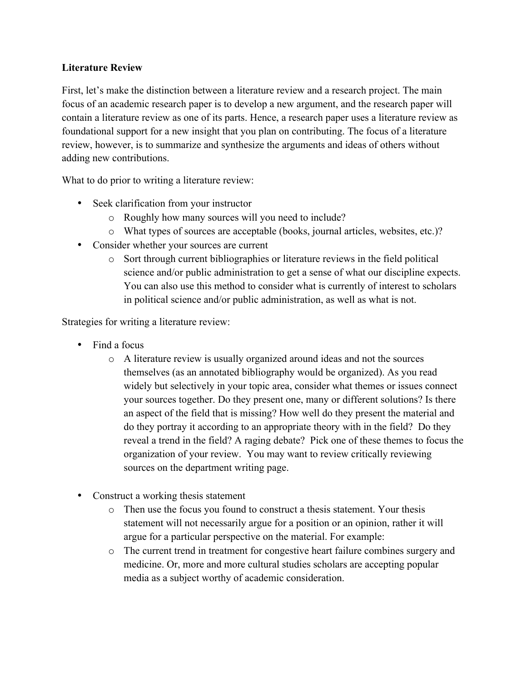## **Literature Review**

First, let's make the distinction between a literature review and a research project. The main focus of an academic research paper is to develop a new argument, and the research paper will contain a literature review as one of its parts. Hence, a research paper uses a literature review as foundational support for a new insight that you plan on contributing. The focus of a literature review, however, is to summarize and synthesize the arguments and ideas of others without adding new contributions.

What to do prior to writing a literature review:

- Seek clarification from your instructor
	- o Roughly how many sources will you need to include?
	- o What types of sources are acceptable (books, journal articles, websites, etc.)?
- Consider whether your sources are current
	- o Sort through current bibliographies or literature reviews in the field political science and/or public administration to get a sense of what our discipline expects. You can also use this method to consider what is currently of interest to scholars in political science and/or public administration, as well as what is not.

Strategies for writing a literature review:

- Find a focus
	- o A literature review is usually organized around ideas and not the sources themselves (as an annotated bibliography would be organized). As you read widely but selectively in your topic area, consider what themes or issues connect your sources together. Do they present one, many or different solutions? Is there an aspect of the field that is missing? How well do they present the material and do they portray it according to an appropriate theory with in the field? Do they reveal a trend in the field? A raging debate? Pick one of these themes to focus the organization of your review. You may want to review critically reviewing sources on the department writing page.
- Construct a working thesis statement
	- o Then use the focus you found to construct a thesis statement. Your thesis statement will not necessarily argue for a position or an opinion, rather it will argue for a particular perspective on the material. For example:
	- o The current trend in treatment for congestive heart failure combines surgery and medicine. Or, more and more cultural studies scholars are accepting popular media as a subject worthy of academic consideration.